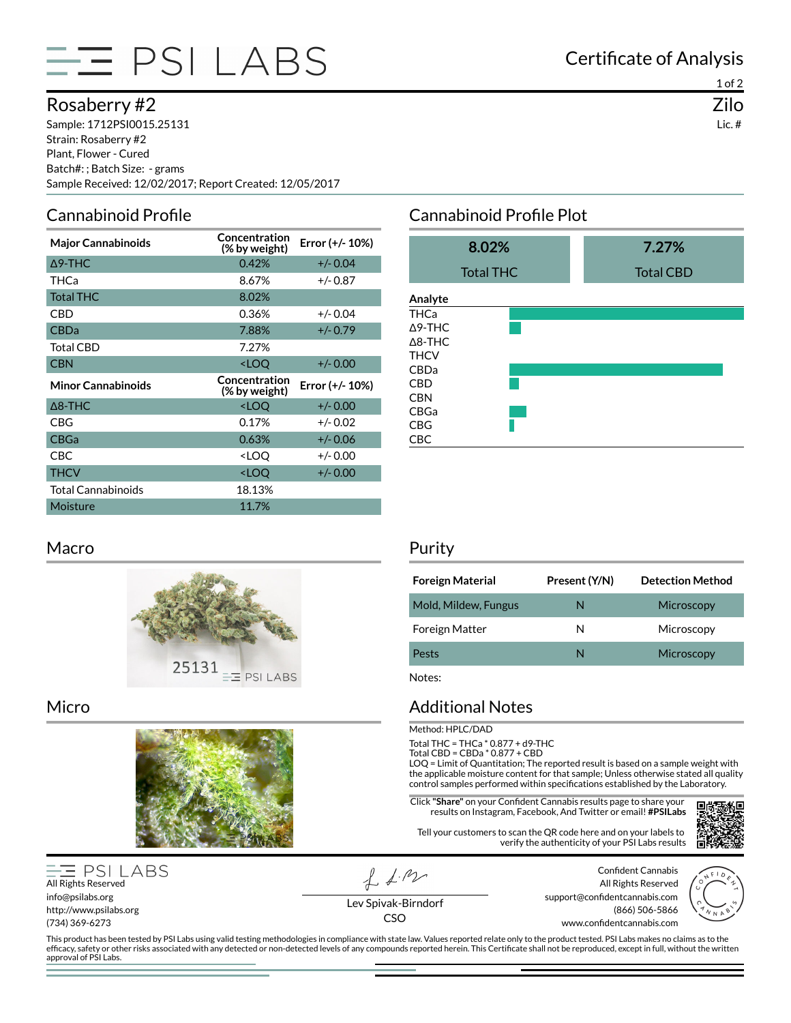

## Rosaberry #2

Sample: 1712PSI0015.25131 Strain: Rosaberry #2 Plant, Flower - Cured Batch#: ; Batch Size: - grams Sample Received: 12/02/2017; Report Created: 12/05/2017

## Cannabinoid Profile

| <b>Major Cannabinoids</b> | Concentration<br>(% by weight)                    | Error (+/- 10%) |
|---------------------------|---------------------------------------------------|-----------------|
| $\Delta$ 9-THC            | 0.42%                                             | $+/- 0.04$      |
| THCa                      | 8.67%                                             | $+/- 0.87$      |
| <b>Total THC</b>          | 8.02%                                             |                 |
| CBD                       | 0.36%                                             | $+/- 0.04$      |
| <b>CBDa</b>               | 7.88%                                             | $+/- 0.79$      |
| <b>Total CBD</b>          | 7.27%                                             |                 |
| <b>CBN</b>                | <loq< td=""><td><math>+/- 0.00</math></td></loq<> | $+/- 0.00$      |
|                           |                                                   |                 |
| <b>Minor Cannabinoids</b> | Concentration<br>(% by weight)                    | Error (+/- 10%) |
| $\Delta$ 8-THC            | <loq< td=""><td><math>+/- 0.00</math></td></loq<> | $+/- 0.00$      |
| CBG                       | 0.17%                                             | $+/- 0.02$      |
| <b>CBGa</b>               | 0.63%                                             | +/- 0.06        |
| <b>CBC</b>                | <loq< td=""><td><math>+/- 0.00</math></td></loq<> | $+/- 0.00$      |
| <b>THCV</b>               | <loo< td=""><td><math>+/- 0.00</math></td></loo<> | $+/- 0.00$      |
| <b>Total Cannabinoids</b> | 18.13%                                            |                 |

### Macro



#### Micro



**PSI LABS** All Rights Reserved info@psilabs.org http://www.psilabs.org (734) 369-6273

approval of PSI Labs.

 $f_{\text{A}}$ 

Certificate of Analysis

1 of 2 Zilo Lic. #

# Cannabinoid Profile Plot

|                | 8.02%            | 7.27%            |
|----------------|------------------|------------------|
|                | <b>Total THC</b> | <b>Total CBD</b> |
| Analyte        |                  |                  |
| THCa           |                  |                  |
| Δ9-THC         |                  |                  |
| $\Delta$ 8-THC |                  |                  |
| THCV           |                  |                  |
| CBDa           |                  |                  |
| CBD            |                  |                  |
| CBN            |                  |                  |
| CBGa           |                  |                  |
| CBG            |                  |                  |
| CBC            |                  |                  |

#### Purity

| <b>Foreign Material</b> | Present (Y/N) | <b>Detection Method</b> |
|-------------------------|---------------|-------------------------|
| Mold, Mildew, Fungus    | N             | Microscopy              |
| <b>Foreign Matter</b>   | N             | Microscopy              |
| Pests                   | N             | Microscopy              |

Notes:

### Additional Notes

Method: HPLC/DAD

Total THC = THCa \* 0.877 + d9-THC

Total CBD = CBDa \* 0.877 + CBD

LOQ = Limit of Quantitation; The reported result is based on a sample weight with the applicable moisture content for that sample; Unless otherwise stated all quality control samples performed within specifications established by the Laboratory.

**Click "Share"** on your Confident Cannabis results page to share your results on Instagram, Facebook, And Twitter or email! **#PSILabs**

Tell your customers to scan the QR code here and on your labels to verify the authenticity of your PSI Labs results

叵

Confident Cannabis All Rights Reserved support@confidentcannabis.com (866) 506-5866 www.confidentcannabis.com



Lev Spivak-Birndorf CSO

This product has been tested by PSI Labs using valid testing methodologies in compliance with state law. Values reported relate only to the product tested. PSI Labs makes no claims as to the efficacy, safety or other risks associated with any detected or non-detected levels of any compounds reported herein. This Certificate shall not be reproduced, except in full, without the written